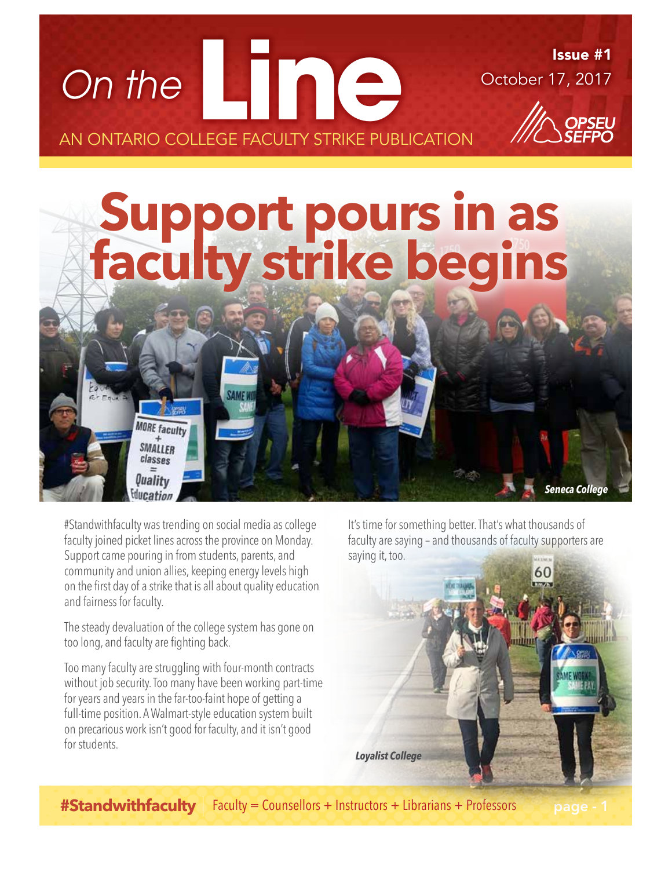

#Standwithfaculty was trending on social media as college faculty joined picket lines across the province on Monday. Support came pouring in from students, parents, and community and union allies, keeping energy levels high on the first day of a strike that is all about quality education and fairness for faculty.

**Education** 

The steady devaluation of the college system has gone on too long, and faculty are fighting back.

Too many faculty are struggling with four-month contracts without job security. Too many have been working part-time for years and years in the far-too-faint hope of getting a full-time position. A Walmart-style education system built on precarious work isn't good for faculty, and it isn't good for students.

It's time for something better. That's what thousands of faculty are saying – and thousands of faculty supporters are saying it, too.



**#Standwithfaculty** Faculty = Counsellors + Instructors + Librarians + Professors page - 1

*Seneca College*